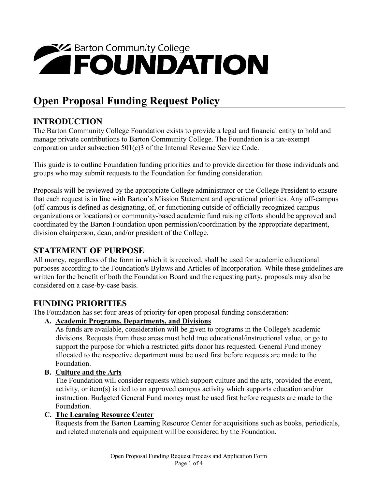# **EXA Barton Community College**

## **Open Proposal Funding Request Policy**

#### **INTRODUCTION**

The Barton Community College Foundation exists to provide a legal and financial entity to hold and manage private contributions to Barton Community College. The Foundation is a tax-exempt corporation under subsection 501(c)3 of the Internal Revenue Service Code.

This guide is to outline Foundation funding priorities and to provide direction for those individuals and groups who may submit requests to the Foundation for funding consideration.

Proposals will be reviewed by the appropriate College administrator or the College President to ensure that each request is in line with Barton's Mission Statement and operational priorities. Any off-campus (off-campus is defined as designating, of, or functioning outside of officially recognized campus organizations or locations) or community-based academic fund raising efforts should be approved and coordinated by the Barton Foundation upon permission/coordination by the appropriate department, division chairperson, dean, and/or president of the College.

#### **STATEMENT OF PURPOSE**

All money, regardless of the form in which it is received, shall be used for academic educational purposes according to the Foundation's Bylaws and Articles of Incorporation. While these guidelines are written for the benefit of both the Foundation Board and the requesting party, proposals may also be considered on a case-by-case basis.

#### **FUNDING PRIORITIES**

The Foundation has set four areas of priority for open proposal funding consideration:

#### **A. Academic Programs, Departments, and Divisions**

As funds are available, consideration will be given to programs in the College's academic divisions. Requests from these areas must hold true educational/instructional value, or go to support the purpose for which a restricted gifts donor has requested. General Fund money allocated to the respective department must be used first before requests are made to the Foundation.

#### **B. Culture and the Arts**

The Foundation will consider requests which support culture and the arts, provided the event, activity, or item(s) is tied to an approved campus activity which supports education and/or instruction. Budgeted General Fund money must be used first before requests are made to the Foundation.

#### **C. The Learning Resource Center**

Requests from the Barton Learning Resource Center for acquisitions such as books, periodicals, and related materials and equipment will be considered by the Foundation.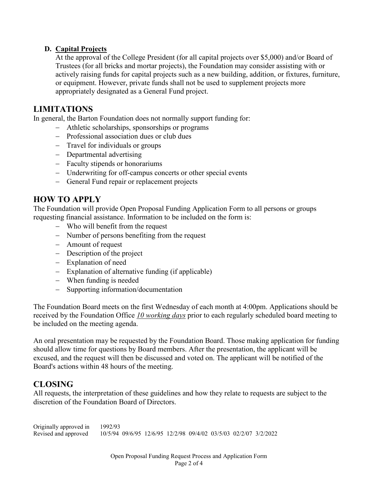#### **D. Capital Projects**

At the approval of the College President (for all capital projects over \$5,000) and/or Board of Trustees (for all bricks and mortar projects), the Foundation may consider assisting with or actively raising funds for capital projects such as a new building, addition, or fixtures, furniture, or equipment. However, private funds shall not be used to supplement projects more appropriately designated as a General Fund project.

#### **LIMITATIONS**

In general, the Barton Foundation does not normally support funding for:

- − Athletic scholarships, sponsorships or programs
- − Professional association dues or club dues
- − Travel for individuals or groups
- − Departmental advertising
- − Faculty stipends or honorariums
- − Underwriting for off-campus concerts or other special events
- − General Fund repair or replacement projects

#### **HOW TO APPLY**

The Foundation will provide Open Proposal Funding Application Form to all persons or groups requesting financial assistance. Information to be included on the form is:

- − Who will benefit from the request
- − Number of persons benefiting from the request
- − Amount of request
- − Description of the project
- − Explanation of need
- − Explanation of alternative funding (if applicable)
- − When funding is needed
- − Supporting information/documentation

The Foundation Board meets on the first Wednesday of each month at 4:00pm. Applications should be received by the Foundation Office *10 working days* prior to each regularly scheduled board meeting to be included on the meeting agenda.

An oral presentation may be requested by the Foundation Board. Those making application for funding should allow time for questions by Board members. After the presentation, the applicant will be excused, and the request will then be discussed and voted on. The applicant will be notified of the Board's actions within 48 hours of the meeting.

#### **CLOSING**

All requests, the interpretation of these guidelines and how they relate to requests are subject to the discretion of the Foundation Board of Directors.

Originally approved in 1992/93 Revised and approved 10/5/94 09/6/95 12/6/95 12/2/98 09/4/02 03/5/03 02/2/07 3/2/2022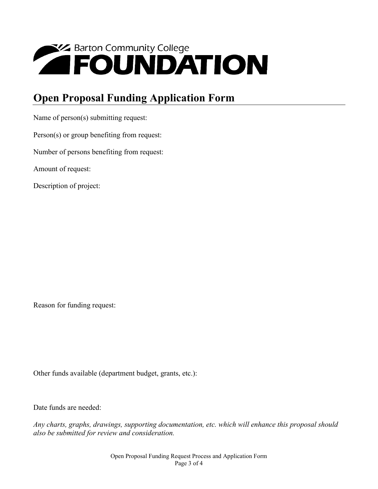## **EXPRESS AND ATION**

### **Open Proposal Funding Application Form**

Name of person(s) submitting request:

Person(s) or group benefiting from request:

Number of persons benefiting from request:

Amount of request:

Description of project:

Reason for funding request:

Other funds available (department budget, grants, etc.):

Date funds are needed:

*Any charts, graphs, drawings, supporting documentation, etc. which will enhance this proposal should also be submitted for review and consideration.*